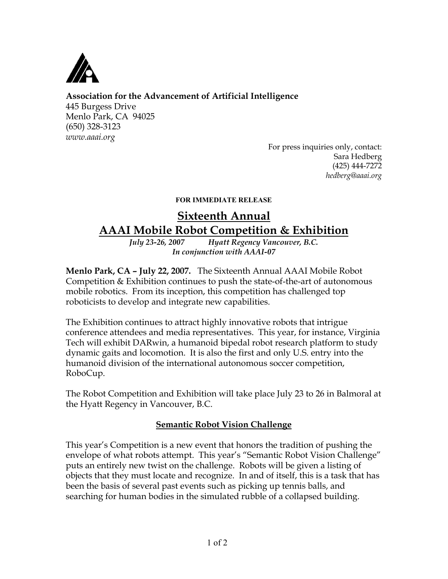

# **Association for the Advancement of Artificial Intelligence**

445 Burgess Drive Menlo Park, CA 94025 (650) 328-3123 *www.aaai.org*

For press inquiries only, contact: Sara Hedberg (425) 444-7272 *hedberg@aaai.org*

#### FOR IMMEDIATE RELEASE

# **Sixteenth Annual AAAI Mobile Robot Competition & Exhibition**

*July 23-26, 2007 Hyatt Regency Vancouver, B.C. In conjunction with AAAI-07*

**Menlo Park, CA – July 22, 2007.** The Sixteenth Annual AAAI Mobile Robot Competition & Exhibition continues to push the state-of-the-art of autonomous mobile robotics. From its inception, this competition has challenged top roboticists to develop and integrate new capabilities.

The Exhibition continues to attract highly innovative robots that intrigue conference attendees and media representatives. This year, for instance, Virginia Tech will exhibit DARwin, a humanoid bipedal robot research platform to study dynamic gaits and locomotion. It is also the first and only U.S. entry into the humanoid division of the international autonomous soccer competition, RoboCup.

The Robot Competition and Exhibition will take place July 23 to 26 in Balmoral at the Hyatt Regency in Vancouver, B.C.

## **Semantic Robot Vision Challenge**

This year's Competition is a new event that honors the tradition of pushing the envelope of what robots attempt. This year's "Semantic Robot Vision Challenge" puts an entirely new twist on the challenge. Robots will be given a listing of objects that they must locate and recognize. In and of itself, this is a task that has been the basis of several past events such as picking up tennis balls, and searching for human bodies in the simulated rubble of a collapsed building.